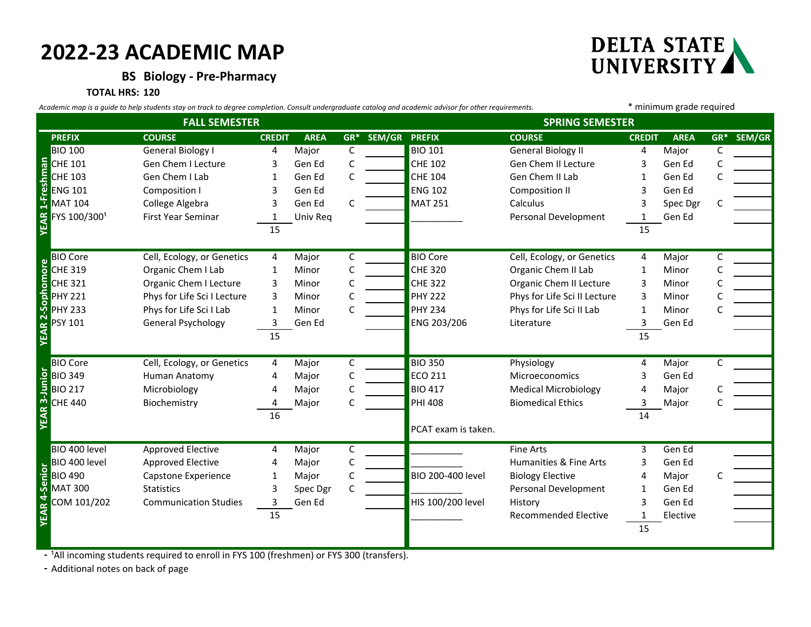## **2022-23 ACADEMIC MAP**

**BS Biology - Pre-Pharmacy**

**TOTAL HRS: 120**

EAR 1-Fres

EAR 2-Soph

EAR 4-Senior

| Academic map is a guide to help students stay on track to degree completion. Consult undergraduate catalog and academic advisor for other requirements. |                              |               |             |   |                          |                        |                              | * minimum grade required |             |              |            |
|---------------------------------------------------------------------------------------------------------------------------------------------------------|------------------------------|---------------|-------------|---|--------------------------|------------------------|------------------------------|--------------------------|-------------|--------------|------------|
| <b>FALL SEMESTER</b>                                                                                                                                    |                              |               |             |   |                          | <b>SPRING SEMESTER</b> |                              |                          |             |              |            |
| <b>PREFIX</b>                                                                                                                                           | <b>COURSE</b>                | <b>CREDIT</b> | <b>AREA</b> |   | <b>GR* SEM/GR PREFIX</b> |                        | <b>COURSE</b>                | <b>CREDIT</b>            | <b>AREA</b> |              | GR* SEM/GR |
| <b>BIO 100</b>                                                                                                                                          | General Biology I            | 4             | Major       | C |                          | <b>BIO 101</b>         | <b>General Biology II</b>    | 4                        | Major       | C            |            |
| <b>E</b> CHE 101                                                                                                                                        | Gen Chem I Lecture           | 3             | Gen Ed      | C |                          | <b>CHE 102</b>         | Gen Chem II Lecture          | 3                        | Gen Ed      | C            |            |
|                                                                                                                                                         | Gen Chem I Lab               | 1             | Gen Ed      | C |                          | <b>CHE 104</b>         | Gen Chem II Lab              |                          | Gen Ed      | C            |            |
| <b>Sal</b><br><b>ENG 101</b>                                                                                                                            | Composition I                | 3             | Gen Ed      |   |                          | <b>ENG 102</b>         | <b>Composition II</b>        |                          | Gen Ed      |              |            |
| <b>MAT 104</b>                                                                                                                                          | College Algebra              | 3             | Gen Ed      | C |                          | <b>MAT 251</b>         | Calculus                     |                          | Spec Dgr    | C            |            |
| FYS 100/3001                                                                                                                                            | First Year Seminar           |               | Univ Req    |   |                          |                        | Personal Development         |                          | Gen Ed      |              |            |
|                                                                                                                                                         |                              | 15            |             |   |                          |                        |                              | 15                       |             |              |            |
| <b>BIO Core</b>                                                                                                                                         | Cell, Ecology, or Genetics   | 4             | Major       | C |                          | <b>BIO Core</b>        | Cell, Ecology, or Genetics   | 4                        | Major       | C            |            |
| omore<br>CHE 319                                                                                                                                        | Organic Chem I Lab           | 1             | Minor       |   |                          | <b>CHE 320</b>         | Organic Chem II Lab          |                          | Minor       |              |            |
| <b>CHE 321</b>                                                                                                                                          | Organic Chem I Lecture       | 3             | Minor       | C |                          | <b>CHE 322</b>         | Organic Chem II Lecture      | 3                        | Minor       | C            |            |
| ᆞ<br><b>PHY 221</b>                                                                                                                                     | Phys for Life Sci I Lecture  | 3             | Minor       |   |                          | <b>PHY 222</b>         | Phys for Life Sci II Lecture | 3                        | Minor       |              |            |
| ႙<br><b>PHY 233</b>                                                                                                                                     | Phys for Life Sci I Lab      | 1             | Minor       | C |                          | <b>PHY 234</b>         | Phys for Life Sci II Lab     | 1                        | Minor       |              |            |
| <b>PSY 101</b>                                                                                                                                          | General Psychology           | 3             | Gen Ed      |   |                          | ENG 203/206            | Literature                   | 3                        | Gen Ed      |              |            |
|                                                                                                                                                         |                              | 15            |             |   |                          |                        |                              | 15                       |             |              |            |
| <b>BIO Core</b>                                                                                                                                         | Cell, Ecology, or Genetics   | 4             | Major       | C |                          | <b>BIO 350</b>         | Physiology                   | 4                        | Major       | $\mathsf{C}$ |            |
| lunio<br><b>BIO 349</b>                                                                                                                                 | Human Anatomy                | 4             | Major       | C |                          | ECO 211                | <b>Microeconomics</b>        | 3                        | Gen Ed      |              |            |
| <b>BIO 217</b>                                                                                                                                          | Microbiology                 | 4             | Major       | C |                          | <b>BIO 417</b>         | <b>Medical Microbiology</b>  | 4                        | Major       |              |            |
| <u>್</u> ಗ<br><b>CHE 440</b>                                                                                                                            | Biochemistry                 | 4             | Major       |   |                          | <b>PHI 408</b>         | <b>Biomedical Ethics</b>     | 3                        | Major       |              |            |
|                                                                                                                                                         |                              | 16            |             |   |                          |                        |                              | 14                       |             |              |            |
|                                                                                                                                                         |                              |               |             |   |                          | PCAT exam is taken.    |                              |                          |             |              |            |
| BIO 400 level                                                                                                                                           | <b>Approved Elective</b>     | 4             | Major       | C |                          |                        | <b>Fine Arts</b>             | 3                        | Gen Ed      |              |            |
| BIO 400 level                                                                                                                                           | Approved Elective            | 4             | Major       | C |                          |                        | Humanities & Fine Arts       | 3                        | Gen Ed      |              |            |
| Senior<br><b>BIO 490</b>                                                                                                                                | Capstone Experience          | 1             | Major       |   |                          | BIO 200-400 level      | <b>Biology Elective</b>      |                          | Major       |              |            |
| <b>MAT 300</b>                                                                                                                                          | <b>Statistics</b>            | 3             | Spec Dgr    | C |                          |                        | Personal Development         |                          | Gen Ed      |              |            |
| COM 101/202                                                                                                                                             | <b>Communication Studies</b> | 3             | Gen Ed      |   |                          | HIS 100/200 level      | History                      | 3                        | Gen Ed      |              |            |
|                                                                                                                                                         |                              | 15            |             |   |                          |                        | <b>Recommended Elective</b>  | 1                        | Elective    |              |            |
|                                                                                                                                                         |                              |               |             |   |                          |                        |                              | 15                       |             |              |            |

- <sup>1</sup>All incoming students required to enroll in FYS 100 (freshmen) or FYS 300 (transfers).

**-** Additional notes on back of page